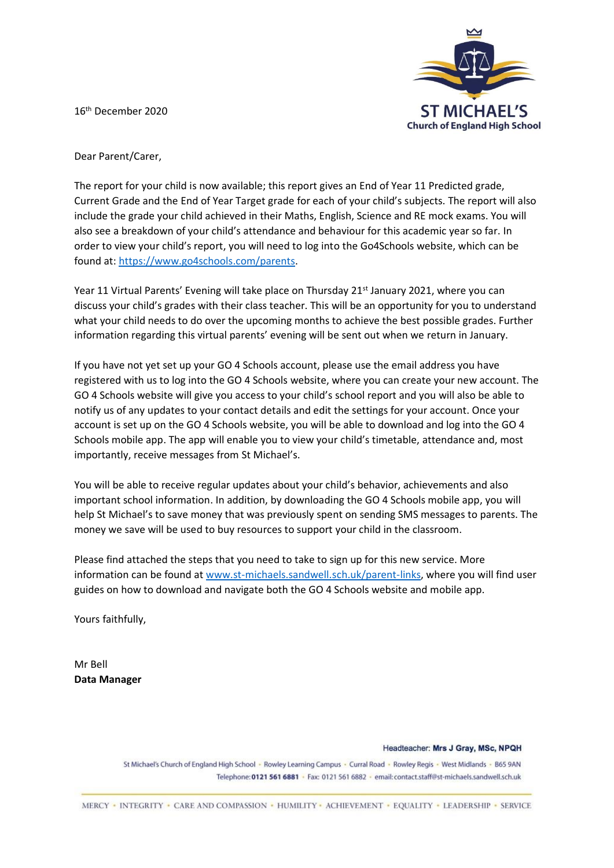16th December 2020



Dear Parent/Carer,

The report for your child is now available; this report gives an End of Year 11 Predicted grade, Current Grade and the End of Year Target grade for each of your child's subjects. The report will also include the grade your child achieved in their Maths, English, Science and RE mock exams. You will also see a breakdown of your child's attendance and behaviour for this academic year so far. In order to view your child's report, you will need to log into the Go4Schools website, which can be found at: [https://www.go4schools.com/parents.](https://www.go4schools.com/parents)

Year 11 Virtual Parents' Evening will take place on Thursday 21<sup>st</sup> January 2021, where you can discuss your child's grades with their class teacher. This will be an opportunity for you to understand what your child needs to do over the upcoming months to achieve the best possible grades. Further information regarding this virtual parents' evening will be sent out when we return in January.

If you have not yet set up your GO 4 Schools account, please use the email address you have registered with us to log into the GO 4 Schools website, where you can create your new account. The GO 4 Schools website will give you access to your child's school report and you will also be able to notify us of any updates to your contact details and edit the settings for your account. Once your account is set up on the GO 4 Schools website, you will be able to download and log into the GO 4 Schools mobile app. The app will enable you to view your child's timetable, attendance and, most importantly, receive messages from St Michael's.

You will be able to receive regular updates about your child's behavior, achievements and also important school information. In addition, by downloading the GO 4 Schools mobile app, you will help St Michael's to save money that was previously spent on sending SMS messages to parents. The money we save will be used to buy resources to support your child in the classroom.

Please find attached the steps that you need to take to sign up for this new service. More information can be found at [www.st-michaels.sandwell.sch.uk/parent-links,](file:///C:/Users/alan.brooks/Google%20Drive/+%20Profile%20Data/Downloads/www.st-michaels.sandwell.sch.uk/parent-links) where you will find user guides on how to download and navigate both the GO 4 Schools website and mobile app.

Yours faithfully,

Mr Bell **Data Manager**

Headteacher: Mrs J Gray, MSc, NPQH

St Michael's Church of England High School - Rowley Learning Campus - Curral Road - Rowley Regis - West Midlands - B65 9AN Telephone: 0121 561 6881 · Fax: 0121 561 6882 · email: contact.staff@st-michaels.sandwell.sch.uk